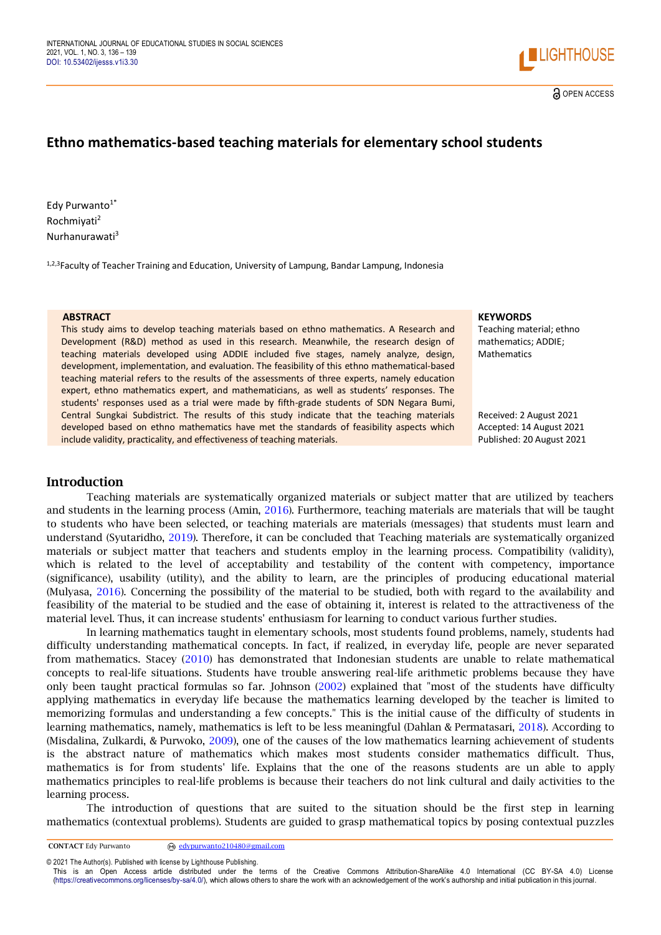

# **Ethno mathematics-based teaching materials for elementary school students**

Edy Purwanto<sup>1\*</sup> Rochmiyati<sup>2</sup> Nurhanurawati<sup>3</sup>

<sup>1,2,3</sup>Faculty of Teacher Training and Education, University of Lampung, Bandar Lampung, Indonesia

This study aims to develop teaching materials based on ethno mathematics. A Research and Development (R&D) method as used in this research. Meanwhile, the research design of teaching materials developed using ADDIE included five stages, namely analyze, design, development, implementation, and evaluation. The feasibility of this ethno mathematical-based teaching material refers to the results of the assessments of three experts, namely education expert, ethno mathematics expert, and mathematicians, as well as students' responses. The students' responses used as a trial were made by fifth-grade students of SDN Negara Bumi, Central Sungkai Subdistrict. The results of this study indicate that the teaching materials developed based on ethno mathematics have met the standards of feasibility aspects which include validity, practicality, and effectiveness of teaching materials.

#### **ABSTRACT KEYWORDS**

Teaching material; ethno mathematics; ADDIE; **Mathematics** 

Received: 2 August 2021 Accepted: 14 August 2021 Published: 20 August 2021

## **Introduction**

Teaching materials are systematically organized materials or subject matter that are utilized by teachers and students in the learning process (Amin, [2016\)](#page-3-0). Furthermore, teaching materials are materials that will be taught to students who have been selected, or teaching materials are materials (messages) that students must learn and understand (Syutaridho, [2019\)](#page-3-1). Therefore, it can be concluded that Teaching materials are systematically organized materials or subject matter that teachers and students employ in the learning process. Compatibility (validity), which is related to the level of acceptability and testability of the content with competency, importance (significance), usability (utility), and the ability to learn, are the principles of producing educational material (Mulyasa, [2016\)](#page-3-2). Concerning the possibility of the material to be studied, both with regard to the availability and feasibility of the material to be studied and the ease of obtaining it, interest is related to the attractiveness of the material level. Thus, it can increase students' enthusiasm for learning to conduct various further studies.

In learning mathematics taught in elementary schools, most students found problems, namely, students had difficulty understanding mathematical concepts. In fact, if realized, in everyday life, people are never separated from mathematics. Stacey [\(2010\)](#page-3-3) has demonstrated that Indonesian students are unable to relate mathematical concepts to real-life situations. Students have trouble answering real-life arithmetic problems because they have only been taught practical formulas so far. Johnson [\(2002\)](#page-3-4) explained that "most of the students have difficulty applying mathematics in everyday life because the mathematics learning developed by the teacher is limited to memorizing formulas and understanding a few concepts." This is the initial cause of the difficulty of students in learning mathematics, namely, mathematics is left to be less meaningful (Dahlan & Permatasari, [2018\)](#page-3-5). According to (Misdalina, Zulkardi, & Purwoko, [2009\)](#page-3-6), one of the causes of the low mathematics learning achievement of students is the abstract nature of mathematics which makes most students consider mathematics difficult. Thus, mathematics is for from students' life. Explains that the one of the reasons students are un able to apply mathematics principles to real-life problems is because their teachers do not link cultural and daily activities to the learning process.

The introduction of questions that are suited to the situation should be the first step in learning mathematics (contextual problems). Students are guided to grasp mathematical topics by posing contextual puzzles

**CONTACT** Edy Purwanto  $\Theta$  [edypurwanto210480@gmail.com](mailto:edypurwanto210480@gmail.com)

© 2021 The Author(s). Published with license by Lighthouse Publishing.

This is an Open Access article distributed under the terms of the Creative Commons Attribution-ShareAlike 4.0 International (CC BY-SA 4.0) License (https://creativecommons.org/licenses/by-sa/4.0/), which allows others to share the work with an acknowledgement of the work's authorship and initial publication in this journal.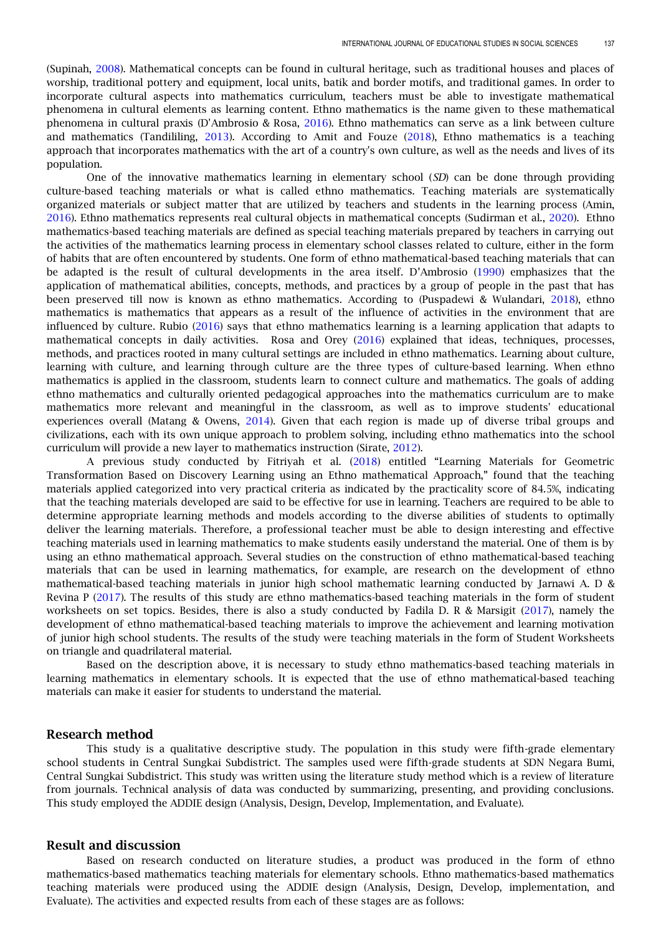(Supinah, [2008\)](#page-3-7). Mathematical concepts can be found in cultural heritage, such as traditional houses and places of worship, traditional pottery and equipment, local units, batik and border motifs, and traditional games. In order to incorporate cultural aspects into mathematics curriculum, teachers must be able to investigate mathematical phenomena in cultural elements as learning content. Ethno mathematics is the name given to these mathematical phenomena in cultural praxis (D'Ambrosio & Rosa, [2016\)](#page-3-8). Ethno mathematics can serve as a link between culture and mathematics (Tandililing, [2013\)](#page-3-7). According to Amit and Fouze [\(2018\)](#page-3-9), Ethno mathematics is a teaching approach that incorporates mathematics with the art of a country's own culture, as well as the needs and lives of its population.

One of the innovative mathematics learning in elementary school (*SD*) can be done through providing culture-based teaching materials or what is called ethno mathematics. Teaching materials are systematically organized materials or subject matter that are utilized by teachers and students in the learning process (Amin, [2016\)](#page-3-0). Ethno mathematics represents real cultural objects in mathematical concepts (Sudirman et al., [2020\)](#page-3-10). Ethno mathematics-based teaching materials are defined as special teaching materials prepared by teachers in carrying out the activities of the mathematics learning process in elementary school classes related to culture, either in the form of habits that are often encountered by students. One form of ethno mathematical-based teaching materials that can be adapted is the result of cultural developments in the area itself. D'Ambrosio [\(1990\)](#page-3-11) emphasizes that the application of mathematical abilities, concepts, methods, and practices by a group of people in the past that has been preserved till now is known as ethno mathematics. According to (Puspadewi & Wulandari, [2018\)](#page-3-12), ethno mathematics is mathematics that appears as a result of the influence of activities in the environment that are influenced by culture. Rubio [\(2016\)](#page-3-3) says that ethno mathematics learning is a learning application that adapts to mathematical concepts in daily activities. Rosa and Orey [\(2016\)](#page-3-8) explained that ideas, techniques, processes, methods, and practices rooted in many cultural settings are included in ethno mathematics. Learning about culture, learning with culture, and learning through culture are the three types of culture-based learning. When ethno mathematics is applied in the classroom, students learn to connect culture and mathematics. The goals of adding ethno mathematics and culturally oriented pedagogical approaches into the mathematics curriculum are to make mathematics more relevant and meaningful in the classroom, as well as to improve students' educational experiences overall (Matang & Owens, [2014\)](#page-3-13). Given that each region is made up of diverse tribal groups and civilizations, each with its own unique approach to problem solving, including ethno mathematics into the school curriculum will provide a new layer to mathematics instruction (Sirate, [2012\)](#page-3-14).

A previous study conducted by Fitriyah et al. [\(2018\)](#page-3-15) entitled "Learning Materials for Geometric Transformation Based on Discovery Learning using an Ethno mathematical Approach," found that the teaching materials applied categorized into very practical criteria as indicated by the practicality score of 84.5%, indicating that the teaching materials developed are said to be effective for use in learning. Teachers are required to be able to determine appropriate learning methods and models according to the diverse abilities of students to optimally deliver the learning materials. Therefore, a professional teacher must be able to design interesting and effective teaching materials used in learning mathematics to make students easily understand the material. One of them is by using an ethno mathematical approach. Several studies on the construction of ethno mathematical-based teaching materials that can be used in learning mathematics, for example, are research on the development of ethno mathematical-based teaching materials in junior high school mathematic learning conducted by Jarnawi A. D & Revina P [\(2017\)](#page-3-16). The results of this study are ethno mathematics-based teaching materials in the form of student worksheets on set topics. Besides, there is also a study conducted by Fadila D. R & Marsigit [\(2017\)](#page-3-8), namely the development of ethno mathematical-based teaching materials to improve the achievement and learning motivation of junior high school students. The results of the study were teaching materials in the form of Student Worksheets on triangle and quadrilateral material.

Based on the description above, it is necessary to study ethno mathematics-based teaching materials in learning mathematics in elementary schools. It is expected that the use of ethno mathematical-based teaching materials can make it easier for students to understand the material.

#### **Research method**

This study is a qualitative descriptive study. The population in this study were fifth-grade elementary school students in Central Sungkai Subdistrict. The samples used were fifth-grade students at SDN Negara Bumi, Central Sungkai Subdistrict. This study was written using the literature study method which is a review of literature from journals. Technical analysis of data was conducted by summarizing, presenting, and providing conclusions. This study employed the ADDIE design (Analysis, Design, Develop, Implementation, and Evaluate).

## **Result and discussion**

Based on research conducted on literature studies, a product was produced in the form of ethno mathematics-based mathematics teaching materials for elementary schools. Ethno mathematics-based mathematics teaching materials were produced using the ADDIE design (Analysis, Design, Develop, implementation, and Evaluate). The activities and expected results from each of these stages are as follows: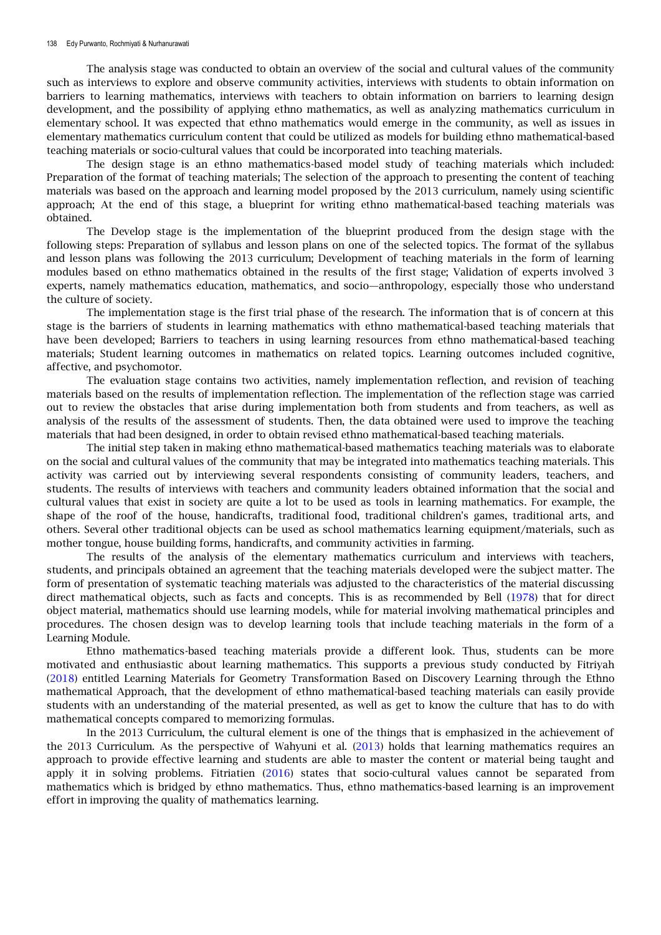The analysis stage was conducted to obtain an overview of the social and cultural values of the community such as interviews to explore and observe community activities, interviews with students to obtain information on barriers to learning mathematics, interviews with teachers to obtain information on barriers to learning design development, and the possibility of applying ethno mathematics, as well as analyzing mathematics curriculum in elementary school. It was expected that ethno mathematics would emerge in the community, as well as issues in elementary mathematics curriculum content that could be utilized as models for building ethno mathematical-based teaching materials or socio-cultural values that could be incorporated into teaching materials.

The design stage is an ethno mathematics-based model study of teaching materials which included: Preparation of the format of teaching materials; The selection of the approach to presenting the content of teaching materials was based on the approach and learning model proposed by the 2013 curriculum, namely using scientific approach; At the end of this stage, a blueprint for writing ethno mathematical-based teaching materials was obtained.

The Develop stage is the implementation of the blueprint produced from the design stage with the following steps: Preparation of syllabus and lesson plans on one of the selected topics. The format of the syllabus and lesson plans was following the 2013 curriculum; Development of teaching materials in the form of learning modules based on ethno mathematics obtained in the results of the first stage; Validation of experts involved 3 experts, namely mathematics education, mathematics, and socio—anthropology, especially those who understand the culture of society.

The implementation stage is the first trial phase of the research. The information that is of concern at this stage is the barriers of students in learning mathematics with ethno mathematical-based teaching materials that have been developed; Barriers to teachers in using learning resources from ethno mathematical-based teaching materials; Student learning outcomes in mathematics on related topics. Learning outcomes included cognitive, affective, and psychomotor.

The evaluation stage contains two activities, namely implementation reflection, and revision of teaching materials based on the results of implementation reflection. The implementation of the reflection stage was carried out to review the obstacles that arise during implementation both from students and from teachers, as well as analysis of the results of the assessment of students. Then, the data obtained were used to improve the teaching materials that had been designed, in order to obtain revised ethno mathematical-based teaching materials.

The initial step taken in making ethno mathematical-based mathematics teaching materials was to elaborate on the social and cultural values of the community that may be integrated into mathematics teaching materials. This activity was carried out by interviewing several respondents consisting of community leaders, teachers, and students. The results of interviews with teachers and community leaders obtained information that the social and cultural values that exist in society are quite a lot to be used as tools in learning mathematics. For example, the shape of the roof of the house, handicrafts, traditional food, traditional children's games, traditional arts, and others. Several other traditional objects can be used as school mathematics learning equipment/materials, such as mother tongue, house building forms, handicrafts, and community activities in farming.

The results of the analysis of the elementary mathematics curriculum and interviews with teachers, students, and principals obtained an agreement that the teaching materials developed were the subject matter. The form of presentation of systematic teaching materials was adjusted to the characteristics of the material discussing direct mathematical objects, such as facts and concepts. This is as recommended by Bell [\(1978\)](#page-3-0) that for direct object material, mathematics should use learning models, while for material involving mathematical principles and procedures. The chosen design was to develop learning tools that include teaching materials in the form of a Learning Module.

Ethno mathematics-based teaching materials provide a different look. Thus, students can be more motivated and enthusiastic about learning mathematics. This supports a previous study conducted by Fitriyah [\(2018\)](#page-3-15) entitled Learning Materials for Geometry Transformation Based on Discovery Learning through the Ethno mathematical Approach, that the development of ethno mathematical-based teaching materials can easily provide students with an understanding of the material presented, as well as get to know the culture that has to do with mathematical concepts compared to memorizing formulas.

In the 2013 Curriculum, the cultural element is one of the things that is emphasized in the achievement of the 2013 Curriculum. As the perspective of Wahyuni et al. (2013) holds that learning mathematics requires an approach to provide effective learning and students are able to master the content or material being taught and apply it in solving problems. Fitriatien [\(2016\)](#page-3-17) states that socio-cultural values cannot be separated from mathematics which is bridged by ethno mathematics. Thus, ethno mathematics-based learning is an improvement effort in improving the quality of mathematics learning.